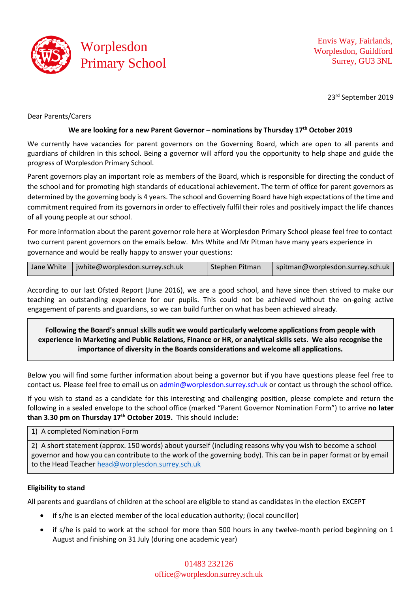

Envis Way, Fairlands, Worplesdon, Guildford Surrey, GU3 3NL

23rd September 2019

Dear Parents/Carers

## **We are looking for a new Parent Governor – nominations by Thursday 17th October 2019**

We currently have vacancies for parent governors on the Governing Board, which are open to all parents and guardians of children in this school. Being a governor will afford you the opportunity to help shape and guide the progress of Worplesdon Primary School.

Parent governors play an important role as members of the Board, which is responsible for directing the conduct of the school and for promoting high standards of educational achievement. The term of office for parent governors as determined by the governing body is 4 years. The school and Governing Board have high expectations of the time and commitment required from its governors in order to effectively fulfil their roles and positively impact the life chances of all young people at our school.

For more information about the parent governor role here at Worplesdon Primary School please feel free to contact two current parent governors on the emails below. Mrs White and Mr Pitman have many years experience in governance and would be really happy to answer your questions:

|  | Jane White   jwhite@worplesdon.surrey.sch.uk | Stephen Pitman | spitman@worplesdon.surrey.sch.uk |
|--|----------------------------------------------|----------------|----------------------------------|
|--|----------------------------------------------|----------------|----------------------------------|

According to our last Ofsted Report (June 2016), we are a good school, and have since then strived to make our teaching an outstanding experience for our pupils. This could not be achieved without the on-going active engagement of parents and guardians, so we can build further on what has been achieved already.

**Following the Board's annual skills audit we would particularly welcome applications from people with experience in Marketing and Public Relations, Finance or HR, or analytical skills sets. We also recognise the importance of diversity in the Boards considerations and welcome all applications.**

Below you will find some further information about being a governor but if you have questions please feel free to contact us. Please feel free to email us on admin@worplesdon.surrey.sch.uk or contact us through the school office.

If you wish to stand as a candidate for this interesting and challenging position, please complete and return the following in a sealed envelope to the school office (marked "Parent Governor Nomination Form") to arrive **no later than 3.30 pm on Thursday 17th October 2019.** This should include:

1) A completed Nomination Form

2) A short statement (approx. 150 words) about yourself (including reasons why you wish to become a school governor and how you can contribute to the work of the governing body). This can be in paper format or by email to the Head Teacher [head@worplesdon.surrey.sch.uk](mailto:head@worplesdon.surrey.sch.uk)

# **Eligibility to stand**

All parents and guardians of children at the school are eligible to stand as candidates in the election EXCEPT

- if s/he is an elected member of the local education authority; (local councillor)
- if s/he is paid to work at the school for more than 500 hours in any twelve-month period beginning on 1 August and finishing on 31 July (during one academic year)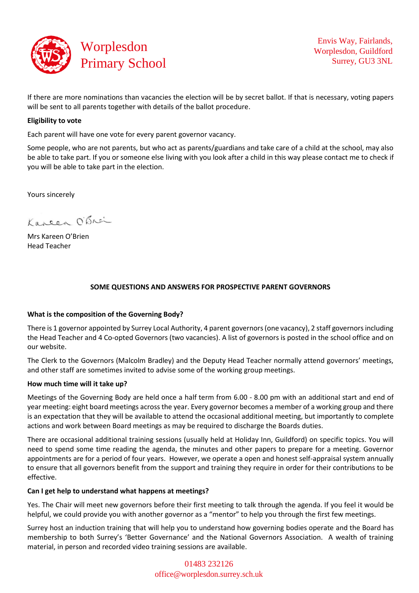

If there are more nominations than vacancies the election will be by secret ballot. If that is necessary, voting papers will be sent to all parents together with details of the ballot procedure.

### **Eligibility to vote**

Each parent will have one vote for every parent governor vacancy.

Some people, who are not parents, but who act as parents/guardians and take care of a child at the school, may also be able to take part. If you or someone else living with you look after a child in this way please contact me to check if you will be able to take part in the election.

Yours sincerely

Kareen O'Brei

Mrs Kareen O'Brien Head Teacher

# **SOME QUESTIONS AND ANSWERS FOR PROSPECTIVE PARENT GOVERNORS**

### **What is the composition of the Governing Body?**

There is 1 governor appointed by Surrey Local Authority, 4 parent governors (one vacancy), 2 staff governors including the Head Teacher and 4 Co-opted Governors (two vacancies). A list of governors is posted in the school office and on our website.

The Clerk to the Governors (Malcolm Bradley) and the Deputy Head Teacher normally attend governors' meetings, and other staff are sometimes invited to advise some of the working group meetings.

### **How much time will it take up?**

Meetings of the Governing Body are held once a half term from 6.00 - 8.00 pm with an additional start and end of year meeting: eight board meetings across the year. Every governor becomes a member of a working group and there is an expectation that they will be available to attend the occasional additional meeting, but importantly to complete actions and work between Board meetings as may be required to discharge the Boards duties.

There are occasional additional training sessions (usually held at Holiday Inn, Guildford) on specific topics. You will need to spend some time reading the agenda, the minutes and other papers to prepare for a meeting. Governor appointments are for a period of four years. However, we operate a open and honest self-appraisal system annually to ensure that all governors benefit from the support and training they require in order for their contributions to be effective.

### **Can I get help to understand what happens at meetings?**

Yes. The Chair will meet new governors before their first meeting to talk through the agenda. If you feel it would be helpful, we could provide you with another governor as a "mentor" to help you through the first few meetings.

Surrey host an induction training that will help you to understand how governing bodies operate and the Board has membership to both Surrey's 'Better Governance' and the National Governors Association. A wealth of training material, in person and recorded video training sessions are available.